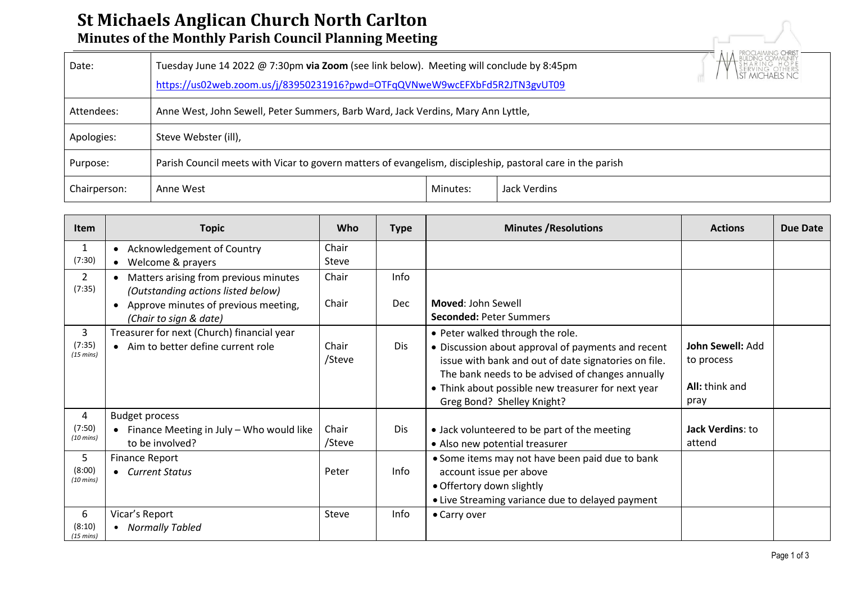## **St Michaels Anglican Church North Carlton Minutes of the Monthly Parish Council Planning Meeting**

| <u>St Mithaels Anglitan thui th Noi th tal Itoli</u><br>Minutes of the Monthly Parish Council Planning Meeting |                                                                                                                                                                        |          |              |  |  |  |  |  |
|----------------------------------------------------------------------------------------------------------------|------------------------------------------------------------------------------------------------------------------------------------------------------------------------|----------|--------------|--|--|--|--|--|
| Date:                                                                                                          | Tuesday June 14 2022 @ 7:30pm via Zoom (see link below). Meeting will conclude by 8:45pm<br>https://us02web.zoom.us/j/83950231916?pwd=OTFqQVNweW9wcEFXbFd5R2JTN3gvUT09 |          |              |  |  |  |  |  |
| Attendees:                                                                                                     | Anne West, John Sewell, Peter Summers, Barb Ward, Jack Verdins, Mary Ann Lyttle,                                                                                       |          |              |  |  |  |  |  |
| Apologies:                                                                                                     | Steve Webster (ill),                                                                                                                                                   |          |              |  |  |  |  |  |
| Purpose:                                                                                                       | Parish Council meets with Vicar to govern matters of evangelism, discipleship, pastoral care in the parish                                                             |          |              |  |  |  |  |  |
| Chairperson:                                                                                                   | Anne West                                                                                                                                                              | Minutes: | Jack Verdins |  |  |  |  |  |

| <b>Item</b>                        | <b>Topic</b>                                                                         | Who             | <b>Type</b> | <b>Minutes / Resolutions</b>                                                                                                                                                                                                                                                           | <b>Actions</b>                                           | Due Date |
|------------------------------------|--------------------------------------------------------------------------------------|-----------------|-------------|----------------------------------------------------------------------------------------------------------------------------------------------------------------------------------------------------------------------------------------------------------------------------------------|----------------------------------------------------------|----------|
| $\mathbf{1}$<br>(7:30)             | Acknowledgement of Country<br>Welcome & prayers<br>$\bullet$                         | Chair<br>Steve  |             |                                                                                                                                                                                                                                                                                        |                                                          |          |
| $\overline{2}$<br>(7:35)           | Matters arising from previous minutes<br>(Outstanding actions listed below)          | Chair           | <b>Info</b> |                                                                                                                                                                                                                                                                                        |                                                          |          |
|                                    | Approve minutes of previous meeting,<br>$\bullet$<br>(Chair to sign & date)          | Chair           | Dec         | Moved: John Sewell<br><b>Seconded: Peter Summers</b>                                                                                                                                                                                                                                   |                                                          |          |
| 3<br>(7:35)<br>$(15 \text{ mins})$ | Treasurer for next (Church) financial year<br>• Aim to better define current role    | Chair<br>/Steve | Dis.        | • Peter walked through the role.<br>• Discussion about approval of payments and recent<br>issue with bank and out of date signatories on file.<br>The bank needs to be advised of changes annually<br>• Think about possible new treasurer for next year<br>Greg Bond? Shelley Knight? | John Sewell: Add<br>to process<br>All: think and<br>pray |          |
| 4<br>(7:50)<br>$(10 \text{ mins})$ | <b>Budget process</b><br>Finance Meeting in July - Who would like<br>to be involved? | Chair<br>/Steve | Dis         | • Jack volunteered to be part of the meeting<br>• Also new potential treasurer                                                                                                                                                                                                         | Jack Verdins: to<br>attend                               |          |
| 5<br>(8:00)<br>$(10 \text{ mins})$ | Finance Report<br>• Current Status                                                   | Peter           | Info        | • Some items may not have been paid due to bank<br>account issue per above<br>• Offertory down slightly<br>• Live Streaming variance due to delayed payment                                                                                                                            |                                                          |          |
| 6<br>(8:10)<br>(15 mins)           | Vicar's Report<br>• Normally Tabled                                                  | Steve           | Info        | • Carry over                                                                                                                                                                                                                                                                           |                                                          |          |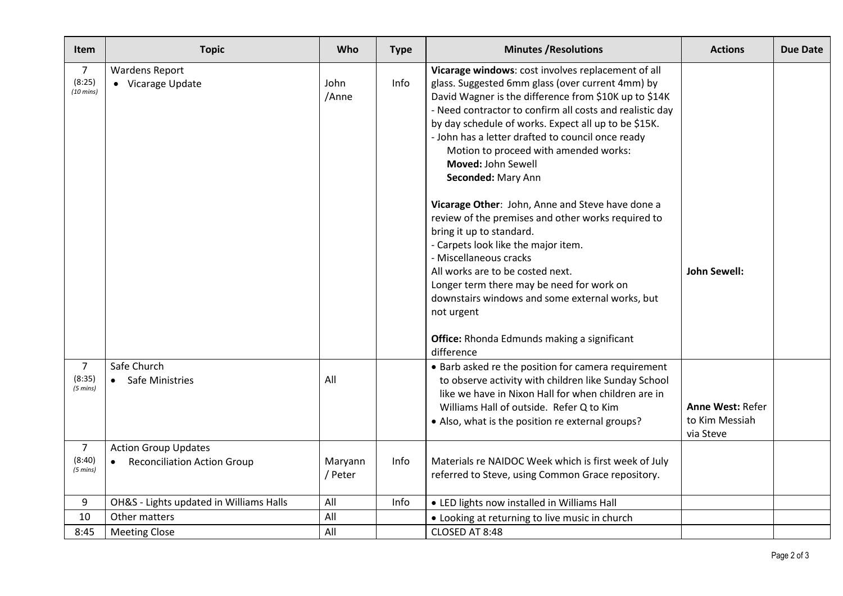| <b>Item</b>                                    | <b>Topic</b>                                                 | Who                | <b>Type</b> | <b>Minutes / Resolutions</b>                                                                                                                                                                                                                                                                                                                                                                                                  | <b>Actions</b>                                         | <b>Due Date</b> |
|------------------------------------------------|--------------------------------------------------------------|--------------------|-------------|-------------------------------------------------------------------------------------------------------------------------------------------------------------------------------------------------------------------------------------------------------------------------------------------------------------------------------------------------------------------------------------------------------------------------------|--------------------------------------------------------|-----------------|
| 7<br>(8:25)<br>$(10 \text{ mins})$             | <b>Wardens Report</b><br>• Vicarage Update                   | John<br>/Anne      | Info        | Vicarage windows: cost involves replacement of all<br>glass. Suggested 6mm glass (over current 4mm) by<br>David Wagner is the difference from \$10K up to \$14K<br>- Need contractor to confirm all costs and realistic day<br>by day schedule of works. Expect all up to be \$15K.<br>- John has a letter drafted to council once ready<br>Motion to proceed with amended works:<br>Moved: John Sewell<br>Seconded: Mary Ann |                                                        |                 |
|                                                |                                                              |                    |             | Vicarage Other: John, Anne and Steve have done a<br>review of the premises and other works required to<br>bring it up to standard.<br>- Carpets look like the major item.<br>- Miscellaneous cracks<br>All works are to be costed next.<br>Longer term there may be need for work on<br>downstairs windows and some external works, but<br>not urgent<br><b>Office:</b> Rhonda Edmunds making a significant<br>difference     | <b>John Sewell:</b>                                    |                 |
| $\overline{7}$<br>(8:35)<br>$(5 \text{ mins})$ | Safe Church<br>• Safe Ministries                             | All                |             | • Barb asked re the position for camera requirement<br>to observe activity with children like Sunday School<br>like we have in Nixon Hall for when children are in<br>Williams Hall of outside. Refer Q to Kim<br>• Also, what is the position re external groups?                                                                                                                                                            | <b>Anne West: Refer</b><br>to Kim Messiah<br>via Steve |                 |
| $\overline{7}$<br>(8:40)<br>$(5 \text{ mins})$ | <b>Action Group Updates</b><br>• Reconciliation Action Group | Maryann<br>/ Peter | Info        | Materials re NAIDOC Week which is first week of July<br>referred to Steve, using Common Grace repository.                                                                                                                                                                                                                                                                                                                     |                                                        |                 |
| 9                                              | OH&S - Lights updated in Williams Halls                      | All                | Info        | • LED lights now installed in Williams Hall                                                                                                                                                                                                                                                                                                                                                                                   |                                                        |                 |
| 10                                             | Other matters                                                | All                |             | • Looking at returning to live music in church                                                                                                                                                                                                                                                                                                                                                                                |                                                        |                 |
| 8:45                                           | <b>Meeting Close</b>                                         | All                |             | CLOSED AT 8:48                                                                                                                                                                                                                                                                                                                                                                                                                |                                                        |                 |